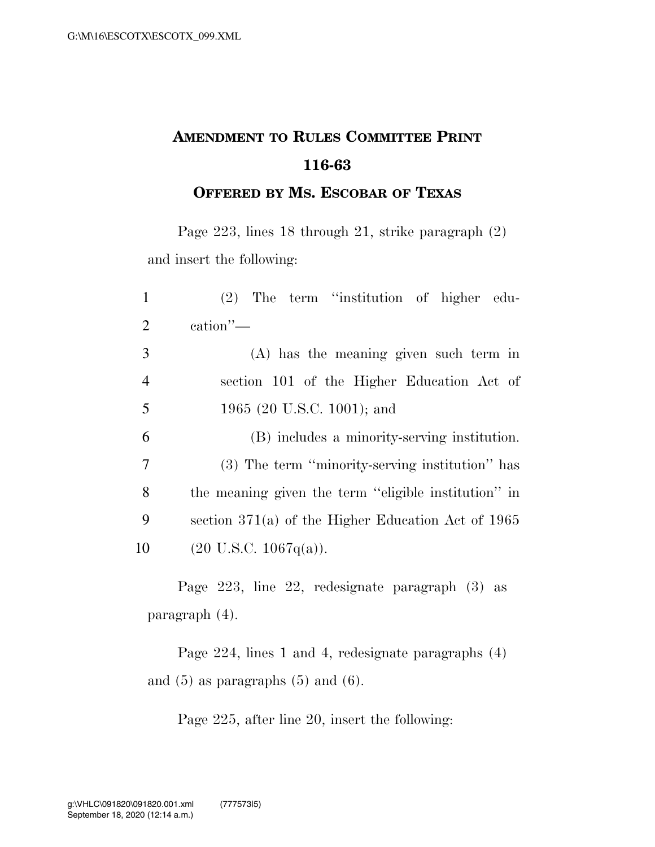## **AMENDMENT TO RULES COMMITTEE PRINT 116-63**

**OFFERED BY MS. ESCOBAR OF TEXAS**

Page 223, lines 18 through 21, strike paragraph (2) and insert the following:

| $\mathbf{1}$   | $(2)$ The term "institution of higher edu-           |
|----------------|------------------------------------------------------|
| 2              | $\operatorname{cation}$ "—                           |
| 3              | (A) has the meaning given such term in               |
| $\overline{4}$ | section 101 of the Higher Education Act of           |
| 5              | 1965 (20 U.S.C. 1001); and                           |
| 6              | (B) includes a minority-serving institution.         |
| 7              | (3) The term "minority-serving institution" has      |
| 8              | the meaning given the term "eligible institution" in |
| 9              | section $371(a)$ of the Higher Education Act of 1965 |
| 10             | $(20 \text{ U.S.C. } 1067q(a)).$                     |
|                |                                                      |

Page 223, line 22, redesignate paragraph (3) as paragraph (4).

Page 224, lines 1 and 4, redesignate paragraphs (4) and  $(5)$  as paragraphs  $(5)$  and  $(6)$ .

Page 225, after line 20, insert the following: